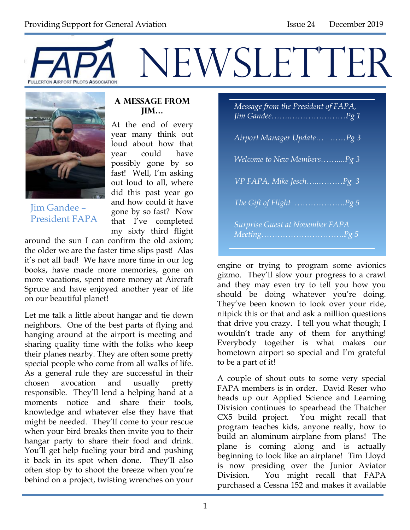



Jim Gandee – President FAPA

#### **A Message from Jim…**

At the end of every year many think out loud about how that year could have possibly gone by so fast! Well, I'm asking out loud to all, where did this past year go and how could it have gone by so fast? Now that I've completed my sixty third flight

around the sun I can confirm the old axiom; the older we are the faster time slips past! Alas it's not all bad! We have more time in our log books, have made more memories, gone on more vacations, spent more money at Aircraft Spruce and have enjoyed another year of life on our beautiful planet!

Let me talk a little about hangar and tie down neighbors. One of the best parts of flying and hanging around at the airport is meeting and sharing quality time with the folks who keep their planes nearby. They are often some pretty special people who come from all walks of life. As a general rule they are successful in their chosen avocation and usually pretty responsible. They'll lend a helping hand at a moments notice and share their tools, knowledge and whatever else they have that might be needed. They'll come to your rescue when your bird breaks then invite you to their hangar party to share their food and drink. You'll get help fueling your bird and pushing it back in its spot when done. They'll also often stop by to shoot the breeze when you're behind on a project, twisting wrenches on your

*Message from the President of FAPA, Jim Gandee…….…………………Pg 1 Airport Manager Update… ……Pg 3 Welcome to New Members……....Pg 3 VP FAPA, Mike Jesch…..………Pg 3 The Gift of Flight ……………….Pg 5 Surprise Guest at November FAPA Meeting………………………….Pg 5*

engine or trying to program some avionics gizmo. They'll slow your progress to a crawl and they may even try to tell you how you should be doing whatever you're doing. They've been known to look over your ride, nitpick this or that and ask a million questions that drive you crazy. I tell you what though; I wouldn't trade any of them for anything! Everybody together is what makes our hometown airport so special and I'm grateful to be a part of it!

A couple of shout outs to some very special FAPA members is in order. David Reser who heads up our Applied Science and Learning Division continues to spearhead the Thatcher CX5 build project. You might recall that program teaches kids, anyone really, how to build an aluminum airplane from plans! The plane is coming along and is actually beginning to look like an airplane! Tim Lloyd is now presiding over the Junior Aviator Division. You might recall that FAPA purchased a Cessna 152 and makes it available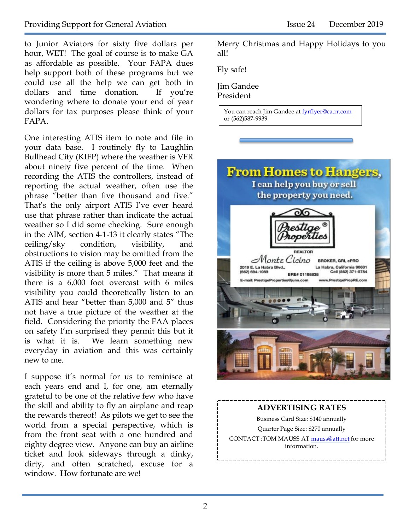to Junior Aviators for sixty five dollars per hour, WET! The goal of course is to make GA as affordable as possible. Your FAPA dues help support both of these programs but we could use all the help we can get both in dollars and time donation. If you're wondering where to donate your end of year dollars for tax purposes please think of your FAPA.

One interesting ATIS item to note and file in your data base. I routinely fly to Laughlin Bullhead City (KIFP) where the weather is VFR about ninety five percent of the time. When recording the ATIS the controllers, instead of reporting the actual weather, often use the phrase "better than five thousand and five." That's the only airport ATIS I've ever heard use that phrase rather than indicate the actual weather so I did some checking. Sure enough in the AIM, section 4-1-13 it clearly states "The ceiling/sky condition, visibility, and obstructions to vision may be omitted from the ATIS if the ceiling is above 5,000 feet and the visibility is more than 5 miles." That means if there is a 6,000 foot overcast with 6 miles visibility you could theoretically listen to an ATIS and hear "better than 5,000 and 5" thus not have a true picture of the weather at the field. Considering the priority the FAA places on safety I'm surprised they permit this but it is what it is. We learn something new everyday in aviation and this was certainly new to me.

I suppose it's normal for us to reminisce at each years end and I, for one, am eternally grateful to be one of the relative few who have the skill and ability to fly an airplane and reap the rewards thereof! As pilots we get to see the world from a special perspective, which is from the front seat with a one hundred and eighty degree view. Anyone can buy an airline ticket and look sideways through a dinky, dirty, and often scratched, excuse for a window. How fortunate are we!

Merry Christmas and Happy Holidays to you all!

Fly safe!

Jim Gandee

President

You can reach Jim Gandee at fyrflyer@ca.rr.com or (562)587-9939



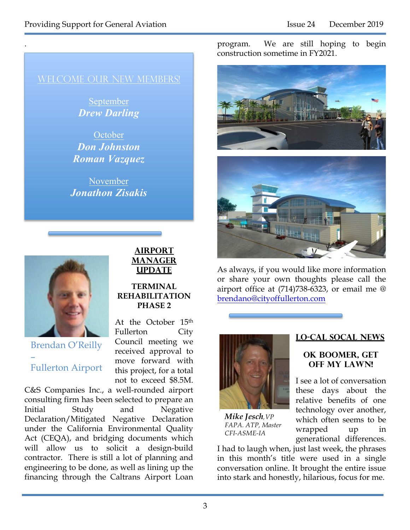.

September *Drew Darling*

**October** *Don Johnston Roman Vazquez*

November *Jonathon Zisakis*



Brendan O'Reilly – Fullerton Airport

### **AIRPORT MANAGER UPDATE**

#### **TERMINAL REHABILITATION PHASE 2**

At the October 15th Fullerton City Council meeting we received approval to move forward with this project, for a total not to exceed \$8.5M.

C&S Companies Inc., a well-rounded airport consulting firm has been selected to prepare an Initial Study and Negative Declaration/Mitigated Negative Declaration under the California Environmental Quality Act (CEQA), and bridging documents which will allow us to solicit a design-build contractor. There is still a lot of planning and engineering to be done, as well as lining up the financing through the Caltrans Airport Loan program. We are still hoping to begin construction sometime in FY2021.





As always, if you would like more information or share your own thoughts please call the airport office at (714)738-6323, or email me @ brendano@cityoffullerton.com



*Mike Jesch,VP FAPA. ATP, Master CFI-ASME-IA*

#### **Lo-Cal SoCal News**

#### **OK Boomer, Get Off My Lawn!**

I see a lot of conversation these days about the relative benefits of one technology over another, which often seems to be wrapped up in generational differences.

I had to laugh when, just last week, the phrases in this month's title were used in a single conversation online. It brought the entire issue into stark and honestly, hilarious, focus for me.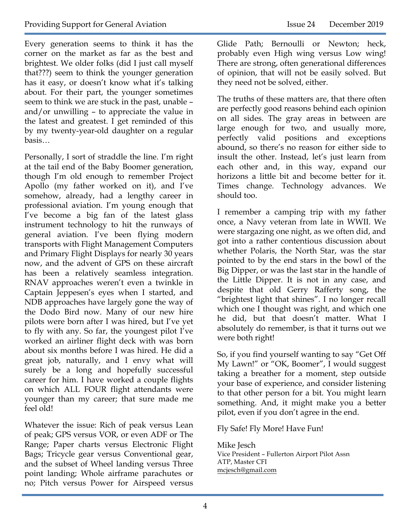Every generation seems to think it has the corner on the market as far as the best and brightest. We older folks (did I just call myself that???) seem to think the younger generation has it easy, or doesn't know what it's talking about. For their part, the younger sometimes seem to think we are stuck in the past, unable – and/or unwilling – to appreciate the value in the latest and greatest. I get reminded of this by my twenty-year-old daughter on a regular basis…

Personally, I sort of straddle the line. I'm right at the tail end of the Baby Boomer generation, though I'm old enough to remember Project Apollo (my father worked on it), and I've somehow, already, had a lengthy career in professional aviation. I'm young enough that I've become a big fan of the latest glass instrument technology to hit the runways of general aviation. I've been flying modern transports with Flight Management Computers and Primary Flight Displays for nearly 30 years now, and the advent of GPS on these aircraft has been a relatively seamless integration. RNAV approaches weren't even a twinkle in Captain Jeppesen's eyes when I started, and NDB approaches have largely gone the way of the Dodo Bird now. Many of our new hire pilots were born after I was hired, but I've yet to fly with any. So far, the youngest pilot I've worked an airliner flight deck with was born about six months before I was hired. He did a great job, naturally, and I envy what will surely be a long and hopefully successful career for him. I have worked a couple flights on which ALL FOUR flight attendants were younger than my career; that sure made me feel old!

Whatever the issue: Rich of peak versus Lean of peak; GPS versus VOR, or even ADF or The Range; Paper charts versus Electronic Flight Bags; Tricycle gear versus Conventional gear, and the subset of Wheel landing versus Three point landing; Whole airframe parachutes or no; Pitch versus Power for Airspeed versus

Glide Path; Bernoulli or Newton; heck, probably even High wing versus Low wing! There are strong, often generational differences of opinion, that will not be easily solved. But they need not be solved, either.

The truths of these matters are, that there often are perfectly good reasons behind each opinion on all sides. The gray areas in between are large enough for two, and usually more, perfectly valid positions and exceptions abound, so there's no reason for either side to insult the other. Instead, let's just learn from each other and, in this way, expand our horizons a little bit and become better for it. Times change. Technology advances. We should too.

I remember a camping trip with my father once, a Navy veteran from late in WWII. We were stargazing one night, as we often did, and got into a rather contentious discussion about whether Polaris, the North Star, was the star pointed to by the end stars in the bowl of the Big Dipper, or was the last star in the handle of the Little Dipper. It is not in any case, and despite that old Gerry Rafferty song, the "brightest light that shines". I no longer recall which one I thought was right, and which one he did, but that doesn't matter. What I absolutely do remember, is that it turns out we were both right!

So, if you find yourself wanting to say "Get Off My Lawn!" or "OK, Boomer", I would suggest taking a breather for a moment, step outside your base of experience, and consider listening to that other person for a bit. You might learn something. And, it might make you a better pilot, even if you don't agree in the end.

Fly Safe! Fly More! Have Fun!

Mike Jesch Vice President – Fullerton Airport Pilot Assn ATP, Master CFI mcjesch@gmail.com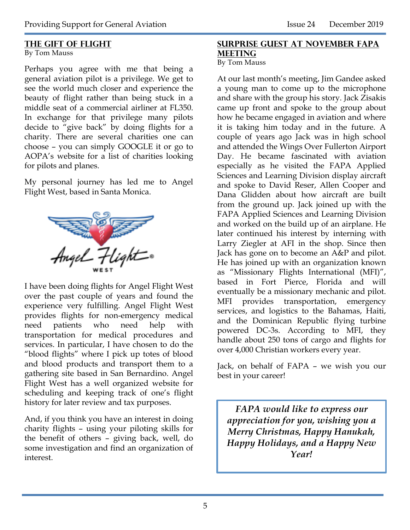#### **The Gift of flight**

By Tom Mauss

Perhaps you agree with me that being a general aviation pilot is a privilege. We get to see the world much closer and experience the beauty of flight rather than being stuck in a middle seat of a commercial airliner at FL350. In exchange for that privilege many pilots decide to "give back" by doing flights for a charity. There are several charities one can choose – you can simply GOOGLE it or go to AOPA's website for a list of charities looking for pilots and planes.

My personal journey has led me to Angel Flight West, based in Santa Monica.



I have been doing flights for Angel Flight West over the past couple of years and found the experience very fulfilling. Angel Flight West provides flights for non-emergency medical need patients who need help with transportation for medical procedures and services. In particular, I have chosen to do the "blood flights" where I pick up totes of blood and blood products and transport them to a gathering site based in San Bernardino. Angel Flight West has a well organized website for scheduling and keeping track of one's flight history for later review and tax purposes.

And, if you think you have an interest in doing charity flights – using your piloting skills for the benefit of others – giving back, well, do some investigation and find an organization of interest.

#### **Surprise Guest at November fapa meeting**

By Tom Mauss

At our last month's meeting, Jim Gandee asked a young man to come up to the microphone and share with the group his story. Jack Zisakis came up front and spoke to the group about how he became engaged in aviation and where it is taking him today and in the future. A couple of years ago Jack was in high school and attended the Wings Over Fullerton Airport Day. He became fascinated with aviation especially as he visited the FAPA Applied Sciences and Learning Division display aircraft and spoke to David Reser, Allen Cooper and Dana Glidden about how aircraft are built from the ground up. Jack joined up with the FAPA Applied Sciences and Learning Division and worked on the build up of an airplane. He later continued his interest by interning with Larry Ziegler at AFI in the shop. Since then Jack has gone on to become an A&P and pilot. He has joined up with an organization known as "Missionary Flights International (MFI)", based in Fort Pierce, Florida and will eventually be a missionary mechanic and pilot. MFI provides transportation, emergency services, and logistics to the Bahamas, Haiti, and the Dominican Republic flying turbine powered DC-3s. According to MFI, they handle about 250 tons of cargo and flights for over 4,000 Christian workers every year.

Jack, on behalf of FAPA – we wish you our best in your career!

*FAPA would like to express our appreciation for you, wishing you a Merry Christmas, Happy Hanukah, Happy Holidays, and a Happy New Year!*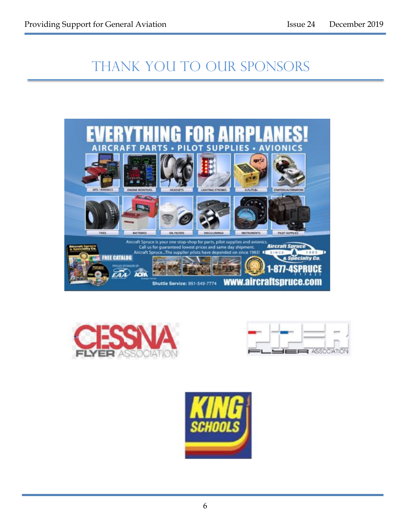# THANK YOU TO OUR SPONSORS